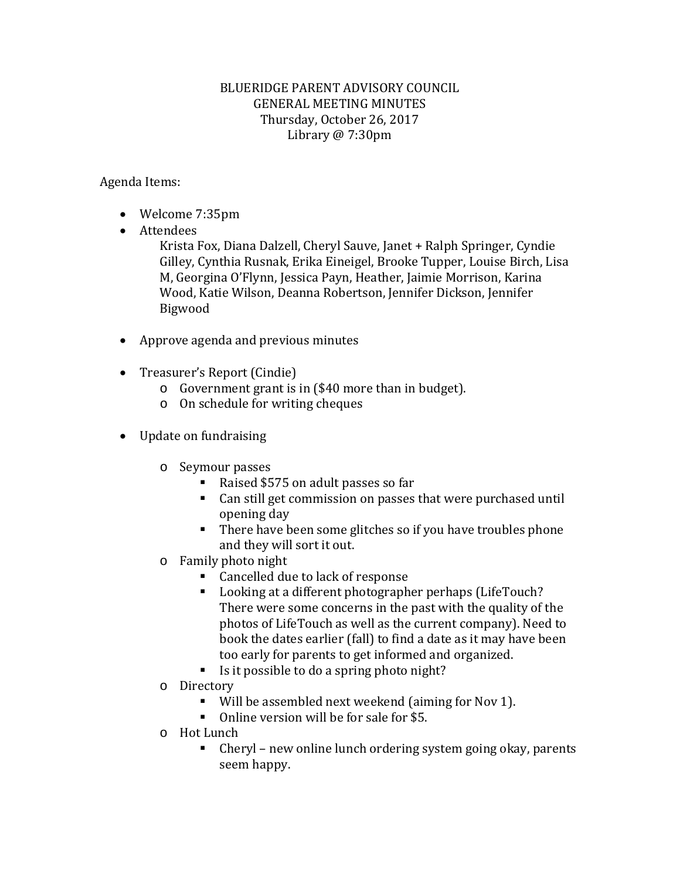## BLUERIDGE PARENT ADVISORY COUNCIL GENERAL MEETING MINUTES Thursday, October 26, 2017 Library @ 7:30pm

Agenda Items:

- Welcome 7:35pm
- Attendees

Krista Fox, Diana Dalzell, Cheryl Sauve, Janet + Ralph Springer, Cyndie Gilley, Cynthia Rusnak, Erika Eineigel, Brooke Tupper, Louise Birch, Lisa M, Georgina O'Flynn, Jessica Payn, Heather, Jaimie Morrison, Karina Wood, Katie Wilson, Deanna Robertson, Jennifer Dickson, Jennifer Bigwood

- Approve agenda and previous minutes
- Treasurer's Report (Cindie)
	- o Government grant is in (\$40 more than in budget).
	- o On schedule for writing cheques
- Update on fundraising
	- o Seymour passes
		- Raised \$575 on adult passes so far
		- Can still get commission on passes that were purchased until opening day
		- **There have been some glitches so if you have troubles phone** and they will sort it out.
	- o Family photo night
		- Cancelled due to lack of response
		- **Looking at a different photographer perhaps (LifeTouch?** There were some concerns in the past with the quality of the photos of LifeTouch as well as the current company). Need to book the dates earlier (fall) to find a date as it may have been too early for parents to get informed and organized.
		- Is it possible to do a spring photo night?
	- o Directory
		- Will be assembled next weekend (aiming for Nov 1).
		- Online version will be for sale for \$5.
	- o Hot Lunch
		- Cheryl new online lunch ordering system going okay, parents seem happy.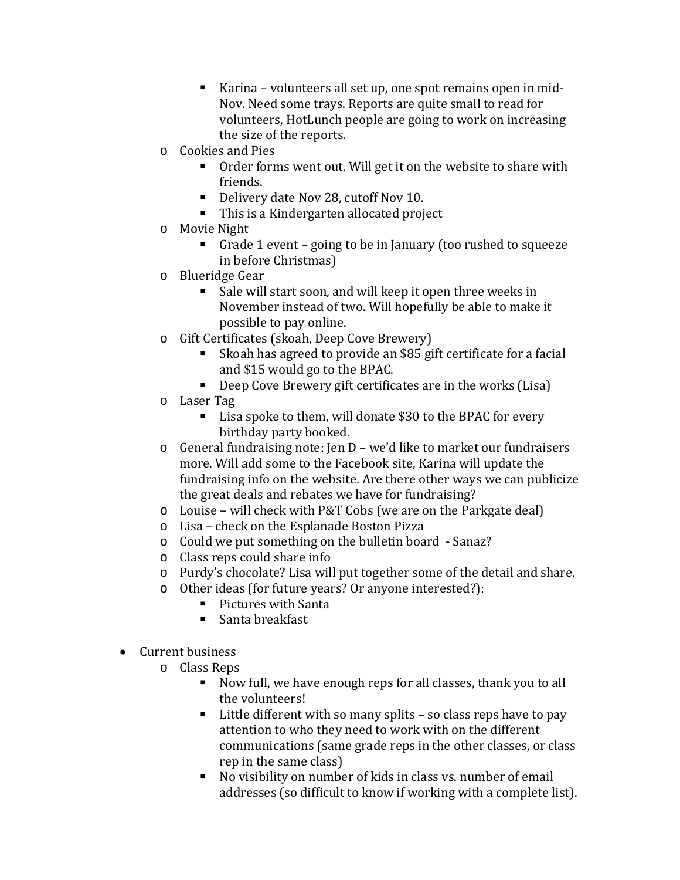- Karina volunteers all set up, one spot remains open in mid-Nov. Need some trays. Reports are quite small to read for volunteers, HotLunch people are going to work on increasing the size of the reports.
- o Cookies and Pies
	- Order forms went out. Will get it on the website to share with friends.
	- Delivery date Nov 28, cutoff Nov 10.
	- This is a Kindergarten allocated project
- o Movie Night
	- Grade 1 event going to be in January (too rushed to squeeze in before Christmas)
- o Blueridge Gear
	- Sale will start soon, and will keep it open three weeks in November instead of two. Will hopefully be able to make it possible to pay online.
- o Gift Certificates (skoah, Deep Cove Brewery)
	- Skoah has agreed to provide an \$85 gift certificate for a facial and \$15 would go to the BPAC.
	- Deep Cove Brewery gift certificates are in the works (Lisa)
- o Laser Tag
	- Lisa spoke to them, will donate \$30 to the BPAC for every birthday party booked.
- o General fundraising note: Jen D we'd like to market our fundraisers more. Will add some to the Facebook site, Karina will update the fundraising info on the website. Are there other ways we can publicize the great deals and rebates we have for fundraising?
- o Louise will check with P&T Cobs (we are on the Parkgate deal)
- o Lisa check on the Esplanade Boston Pizza
- o Could we put something on the bulletin board Sanaz?
- o Class reps could share info
- o Purdy's chocolate? Lisa will put together some of the detail and share.
- o Other ideas (for future years? Or anyone interested?):
	- Pictures with Santa
	- Santa breakfast
- Current business
	- o Class Reps
		- Now full, we have enough reps for all classes, thank you to all the volunteers!
		- $\blacksquare$  Little different with so many splits so class reps have to pay attention to who they need to work with on the different communications (same grade reps in the other classes, or class rep in the same class)
		- No visibility on number of kids in class vs. number of email addresses (so difficult to know if working with a complete list).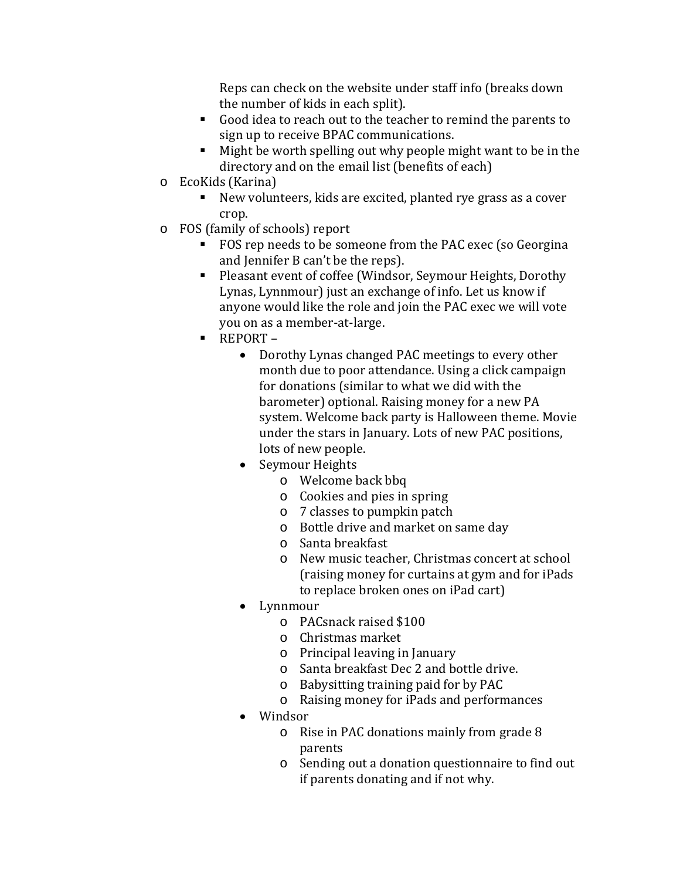Reps can check on the website under staff info (breaks down the number of kids in each split).

- Good idea to reach out to the teacher to remind the parents to sign up to receive BPAC communications.
- Might be worth spelling out why people might want to be in the directory and on the email list (benefits of each)
- o EcoKids (Karina)
	- New volunteers, kids are excited, planted rye grass as a cover crop.
- o FOS (family of schools) report
	- FOS rep needs to be someone from the PAC exec (so Georgina and Jennifer B can't be the reps).
	- Pleasant event of coffee (Windsor, Seymour Heights, Dorothy Lynas, Lynnmour) just an exchange of info. Let us know if anyone would like the role and join the PAC exec we will vote you on as a member-at-large.
	- REPORT –<br>Dor
		- Dorothy Lynas changed PAC meetings to every other month due to poor attendance. Using a click campaign for donations (similar to what we did with the barometer) optional. Raising money for a new PA system. Welcome back party is Halloween theme. Movie under the stars in January. Lots of new PAC positions, lots of new people.
		- Seymour Heights
			- o Welcome back bbq
			- o Cookies and pies in spring
			- o 7 classes to pumpkin patch
			- o Bottle drive and market on same day
			- o Santa breakfast
			- o New music teacher, Christmas concert at school (raising money for curtains at gym and for iPads to replace broken ones on iPad cart)
		- Lynnmour
			- o PACsnack raised \$100
			- o Christmas market
			- o Principal leaving in January
			- o Santa breakfast Dec 2 and bottle drive.
			- o Babysitting training paid for by PAC
			- o Raising money for iPads and performances
		- Windsor
			- o Rise in PAC donations mainly from grade 8 parents
			- o Sending out a donation questionnaire to find out if parents donating and if not why.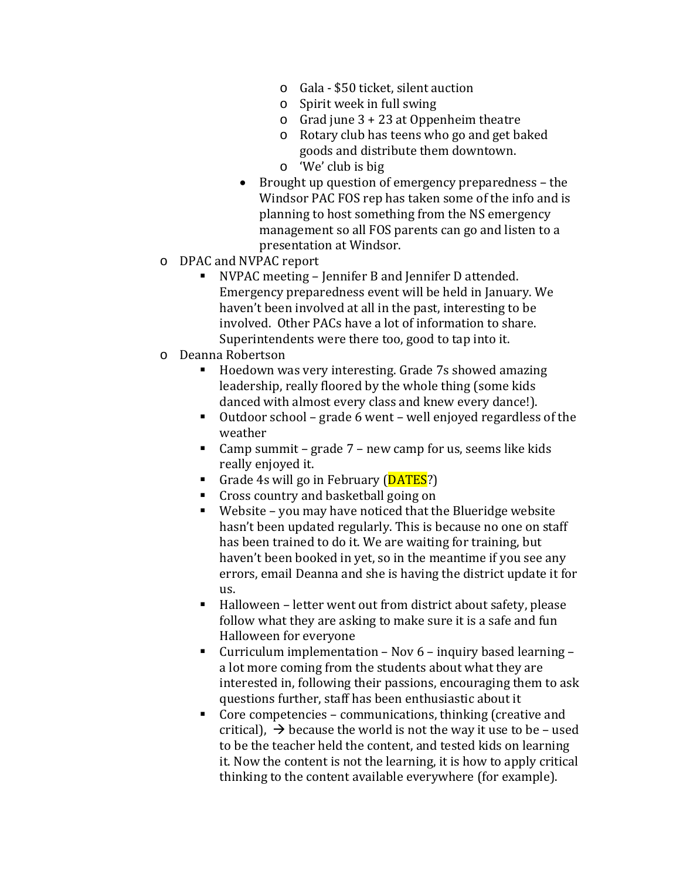- o Gala \$50 ticket, silent auction
- o Spirit week in full swing
- o Grad june  $3 + 23$  at Oppenheim theatre
- o Rotary club has teens who go and get baked goods and distribute them downtown.
- o 'We' club is big
- Brought up question of emergency preparedness the Windsor PAC FOS rep has taken some of the info and is planning to host something from the NS emergency management so all FOS parents can go and listen to a presentation at Windsor.
- o DPAC and NVPAC report
	- NVPAC meeting Jennifer B and Jennifer D attended. Emergency preparedness event will be held in January. We haven't been involved at all in the past, interesting to be involved. Other PACs have a lot of information to share. Superintendents were there too, good to tap into it.
- o Deanna Robertson
	- Hoedown was very interesting. Grade 7s showed amazing leadership, really floored by the whole thing (some kids danced with almost every class and knew every dance!).
	- Outdoor school grade 6 went well enjoyed regardless of the weather
	- Camp summit grade  $7$  new camp for us, seems like kids really enjoyed it.
	- Grade 4s will go in February  $(DATES?)$
	- **Cross country and basketball going on**
	- Website you may have noticed that the Blueridge website hasn't been updated regularly. This is because no one on staff has been trained to do it. We are waiting for training, but haven't been booked in yet, so in the meantime if you see any errors, email Deanna and she is having the district update it for us.
	- Halloween letter went out from district about safety, please follow what they are asking to make sure it is a safe and fun Halloween for everyone
	- Curriculum implementation Nov  $6$  inquiry based learning a lot more coming from the students about what they are interested in, following their passions, encouraging them to ask questions further, staff has been enthusiastic about it
	- Core competencies communications, thinking (creative and critical),  $\rightarrow$  because the world is not the way it use to be – used to be the teacher held the content, and tested kids on learning it. Now the content is not the learning, it is how to apply critical thinking to the content available everywhere (for example).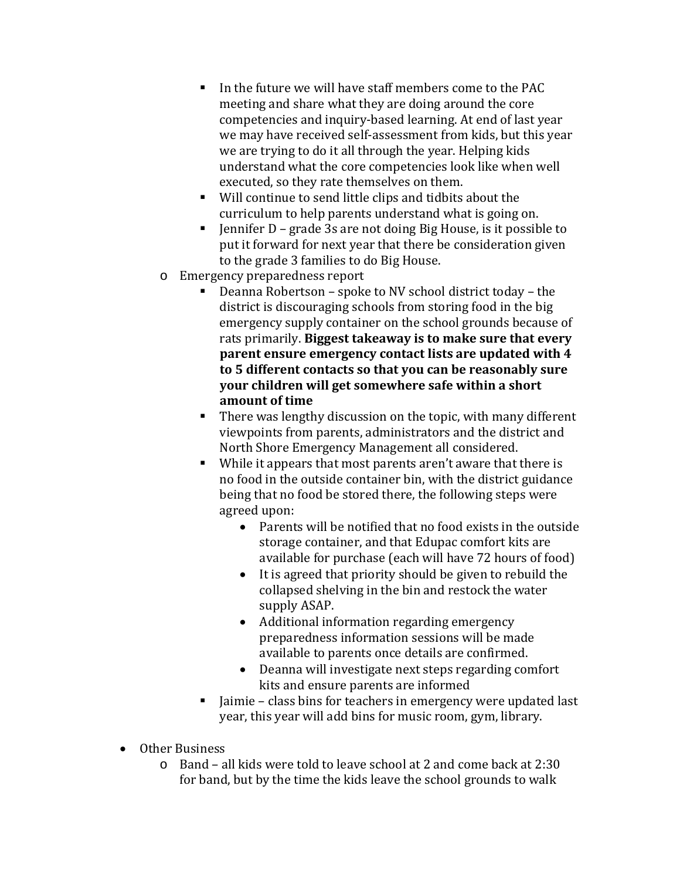- In the future we will have staff members come to the PAC meeting and share what they are doing around the core competencies and inquiry-based learning. At end of last year we may have received self-assessment from kids, but this year we are trying to do it all through the year. Helping kids understand what the core competencies look like when well executed, so they rate themselves on them.
- Will continue to send little clips and tidbits about the curriculum to help parents understand what is going on.
- $\blacksquare$  Jennifer D grade 3s are not doing Big House, is it possible to put it forward for next year that there be consideration given to the grade 3 families to do Big House.
- o Emergency preparedness report
	- Deanna Robertson spoke to NV school district today the district is discouraging schools from storing food in the big emergency supply container on the school grounds because of rats primarily. **Biggest takeaway is to make sure that every parent ensure emergency contact lists are updated with 4 to 5 different contacts so that you can be reasonably sure your children will get somewhere safe within a short amount of time**
	- There was lengthy discussion on the topic, with many different viewpoints from parents, administrators and the district and North Shore Emergency Management all considered.
	- While it appears that most parents aren't aware that there is no food in the outside container bin, with the district guidance being that no food be stored there, the following steps were agreed upon:
		- Parents will be notified that no food exists in the outside storage container, and that Edupac comfort kits are available for purchase (each will have 72 hours of food)
		- It is agreed that priority should be given to rebuild the collapsed shelving in the bin and restock the water supply ASAP.
		- Additional information regarding emergency preparedness information sessions will be made available to parents once details are confirmed.
		- Deanna will investigate next steps regarding comfort kits and ensure parents are informed
	- $\blacksquare$  Jaimie class bins for teachers in emergency were updated last year, this year will add bins for music room, gym, library.
- Other Business
	- o Band all kids were told to leave school at 2 and come back at 2:30 for band, but by the time the kids leave the school grounds to walk